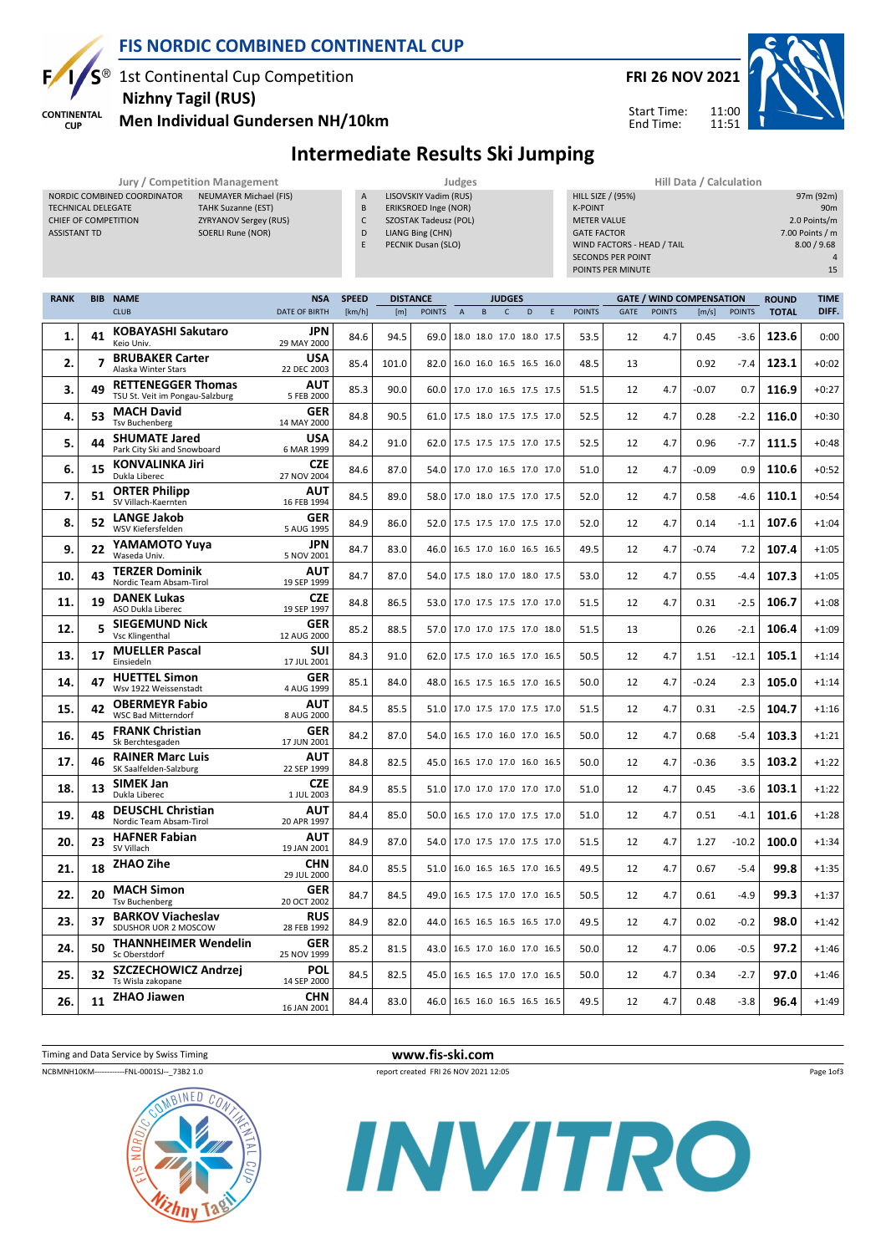**SP** Е **CONTINENTAL** 

**CUP** 

#### FIS NORDIC COMBINED CONTINENTAL CUP

1st Continental Cup Competition Nizhny Tagil (RUS)

NORDIC COMBINED COORDINATOR NEUMAYER Michael (FIS) TECHNICAL DELEGATE TAHK Suzanne (EST) CHIEF OF COMPETITION ZYRYANOV Sergey (RUS) ASSISTANT TD SOERLI Rune (NOR)



11:00 11:51

Start Time: End Time:



# Men Individual Gundersen NH/10km

#### Intermediate Results Ski Jumping

Jury / Competition Management<br>In A LISOVSKIY Vadim (RUS) DOORDINATOR NEUMAYER Michael (FIS) LISOVSKIY Vadim (RUS)

B ERIKSROED Inge (NOR)

- C SZOSTAK Tadeusz (POL)
- D LIANG Bing (CHN)
- E PECNIK Dusan (SLO)

| Hill Data / Calculation    |                 |
|----------------------------|-----------------|
| <b>HILL SIZE / (95%)</b>   | 97m (92m)       |
| <b>K-POINT</b>             | 90 <sub>m</sub> |
| <b>METER VALUE</b>         | 2.0 Points/m    |
| <b>GATE FACTOR</b>         | 7.00 Points / m |
| WIND FACTORS - HEAD / TAIL | 8.00 / 9.68     |
| <b>SECONDS PER POINT</b>   | $\Delta$        |
| POINTS PER MINUTE          | 15              |

| <b>RANK</b> | <b>BIB</b>     | <b>NAME</b>                                                  | <b>NSA</b>                | <b>SPEED</b> | <b>DISTANCE</b> |               |                | <b>JUDGES</b>                   |              |   |   |               | <b>GATE / WIND COMPENSATION</b> |               |         |               | <b>ROUND</b> | <b>TIME</b> |
|-------------|----------------|--------------------------------------------------------------|---------------------------|--------------|-----------------|---------------|----------------|---------------------------------|--------------|---|---|---------------|---------------------------------|---------------|---------|---------------|--------------|-------------|
|             |                | <b>CLUB</b>                                                  | <b>DATE OF BIRTH</b>      | [km/h]       | [m]             | <b>POINTS</b> | $\overline{A}$ | B                               | $\mathsf{C}$ | D | E | <b>POINTS</b> | <b>GATE</b>                     | <b>POINTS</b> | [m/s]   | <b>POINTS</b> | <b>TOTAL</b> | DIFF.       |
| 1.          | 41             | KOBAYASHI Sakutaro<br>Keio Univ.                             | <b>JPN</b><br>29 MAY 2000 | 84.6         | 94.5            | 69.0          |                | 18.0 18.0 17.0 18.0 17.5        |              |   |   | 53.5          | 12                              | 4.7           | 0.45    | $-3.6$        | 123.6        | 0:00        |
| 2.          | $\overline{7}$ | <b>BRUBAKER Carter</b><br>Alaska Winter Stars                | <b>USA</b><br>22 DEC 2003 | 85.4         | 101.0           | 82.0          |                | 16.0 16.0 16.5 16.5 16.0        |              |   |   | 48.5          | 13                              |               | 0.92    | $-7.4$        | 123.1        | $+0:02$     |
| 3.          | 49             | <b>RETTENEGGER Thomas</b><br>TSU St. Veit im Pongau-Salzburg | AUT<br>5 FEB 2000         | 85.3         | 90.0            | 60.0          |                | 17.0 17.0 16.5 17.5 17.5        |              |   |   | 51.5          | 12                              | 4.7           | $-0.07$ | 0.7           | 116.9        | $+0:27$     |
| 4.          | 53             | <b>MACH David</b><br><b>Tsv Buchenberg</b>                   | <b>GER</b><br>14 MAY 2000 | 84.8         | 90.5            | 61.0          |                | 17.5 18.0 17.5 17.5 17.0        |              |   |   | 52.5          | 12                              | 4.7           | 0.28    | $-2.2$        | 116.0        | $+0:30$     |
| 5.          | 44             | <b>SHUMATE Jared</b><br>Park City Ski and Snowboard          | USA<br>6 MAR 1999         | 84.2         | 91.0            | 62.0          |                | 17.5 17.5 17.5 17.0 17.5        |              |   |   | 52.5          | 12                              | 4.7           | 0.96    | $-7.7$        | 111.5        | $+0:48$     |
| 6.          | 15             | <b>KONVALINKA Jiri</b><br>Dukla Liberec                      | <b>CZE</b><br>27 NOV 2004 | 84.6         | 87.0            | 54.0          |                | 17.0 17.0 16.5 17.0 17.0        |              |   |   | 51.0          | 12                              | 4.7           | $-0.09$ | 0.9           | 110.6        | $+0:52$     |
| 7.          | 51             | <b>ORTER Philipp</b><br>SV Villach-Kaernten                  | AUT<br>16 FEB 1994        | 84.5         | 89.0            | 58.0          |                | 17.0 18.0 17.5 17.0 17.5        |              |   |   | 52.0          | 12                              | 4.7           | 0.58    | $-4.6$        | 110.1        | $+0:54$     |
| 8.          | 52             | <b>LANGE Jakob</b><br>WSV Kiefersfelden                      | <b>GER</b><br>5 AUG 1995  | 84.9         | 86.0            | 52.0          |                | 17.5 17.5 17.0 17.5 17.0        |              |   |   | 52.0          | 12                              | 4.7           | 0.14    | $-1.1$        | 107.6        | $+1:04$     |
| 9.          | 22             | YAMAMOTO Yuya<br>Waseda Univ.                                | <b>JPN</b><br>5 NOV 2001  | 84.7         | 83.0            | 46.0          |                | 16.5 17.0 16.0 16.5 16.5        |              |   |   | 49.5          | 12                              | 4.7           | $-0.74$ | 7.2           | 107.4        | $+1:05$     |
| 10.         | 43             | <b>TERZER Dominik</b><br>Nordic Team Absam-Tirol             | <b>AUT</b><br>19 SEP 1999 | 84.7         | 87.0            | 54.0          |                | 17.5 18.0 17.0 18.0 17.5        |              |   |   | 53.0          | 12                              | 4.7           | 0.55    | $-4.4$        | 107.3        | $+1:05$     |
| 11.         | 19             | <b>DANEK Lukas</b><br>ASO Dukla Liberec                      | <b>CZE</b><br>19 SEP 1997 | 84.8         | 86.5            | 53.0          |                | 17.0 17.5 17.5 17.0 17.0        |              |   |   | 51.5          | 12                              | 4.7           | 0.31    | $-2.5$        | 106.7        | $+1:08$     |
| 12.         | 5              | <b>SIEGEMUND Nick</b><br>Vsc Klingenthal                     | <b>GER</b><br>12 AUG 2000 | 85.2         | 88.5            | 57.0          |                | 17.0 17.0 17.5 17.0 18.0        |              |   |   | 51.5          | 13                              |               | 0.26    | $-2.1$        | 106.4        | $+1:09$     |
| 13.         | 17             | <b>MUELLER Pascal</b><br>Einsiedeln                          | <b>SUI</b><br>17 JUL 2001 | 84.3         | 91.0            | 62.0          |                | 17.5 17.0 16.5 17.0 16.5        |              |   |   | 50.5          | 12                              | 4.7           | 1.51    | $-12.1$       | 105.1        | $+1:14$     |
| 14.         | 47             | <b>HUETTEL Simon</b><br>Wsv 1922 Weissenstadt                | <b>GER</b><br>4 AUG 1999  | 85.1         | 84.0            | 48.0          |                | 16.5 17.5 16.5 17.0 16.5        |              |   |   | 50.0          | 12                              | 4.7           | $-0.24$ | 2.3           | 105.0        | $+1:14$     |
| 15.         | 42             | <b>OBERMEYR Fabio</b><br><b>WSC Bad Mitterndorf</b>          | AUT<br>8 AUG 2000         | 84.5         | 85.5            | 51.0          |                | 17.0 17.5 17.0 17.5 17.0        |              |   |   | 51.5          | 12                              | 4.7           | 0.31    | $-2.5$        | 104.7        | $+1:16$     |
| 16.         | 45             | <b>FRANK Christian</b><br>Sk Berchtesgaden                   | <b>GER</b><br>17 JUN 2001 | 84.2         | 87.0            | 54.0          |                | 16.5 17.0 16.0 17.0 16.5        |              |   |   | 50.0          | 12                              | 4.7           | 0.68    | $-5.4$        | 103.3        | $+1:21$     |
| 17.         | 46             | <b>RAINER Marc Luis</b><br>SK Saalfelden-Salzburg            | <b>AUT</b><br>22 SEP 1999 | 84.8         | 82.5            | 45.0          |                | 16.5 17.0 17.0 16.0 16.5        |              |   |   | 50.0          | 12                              | 4.7           | $-0.36$ | 3.5           | 103.2        | $+1:22$     |
| 18.         | 13             | <b>SIMEK Jan</b><br>Dukla Liberec                            | <b>CZE</b><br>1 JUL 2003  | 84.9         | 85.5            | 51.0          |                | 17.0 17.0 17.0 17.0 17.0        |              |   |   | 51.0          | 12                              | 4.7           | 0.45    | $-3.6$        | 103.1        | $+1:22$     |
| 19.         | 48             | <b>DEUSCHL Christian</b><br>Nordic Team Absam-Tirol          | AUT<br>20 APR 1997        | 84.4         | 85.0            | 50.0          |                | 16.5 17.0 17.0 17.5 17.0        |              |   |   | 51.0          | 12                              | 4.7           | 0.51    | $-4.1$        | 101.6        | $+1:28$     |
| 20.         | 23             | <b>HAFNER Fabian</b><br>SV Villach                           | <b>AUT</b><br>19 JAN 2001 | 84.9         | 87.0            | 54.0          |                | 17.0 17.5 17.0 17.5 17.0        |              |   |   | 51.5          | 12                              | 4.7           | 1.27    | $-10.2$       | 100.0        | $+1:34$     |
| 21.         | 18             | <b>ZHAO Zihe</b>                                             | <b>CHN</b><br>29 JUL 2000 | 84.0         | 85.5            | 51.0          |                | 16.0 16.5 16.5 17.0 16.5        |              |   |   | 49.5          | 12                              | 4.7           | 0.67    | $-5.4$        | 99.8         | $+1:35$     |
| 22.         | 20             | <b>MACH Simon</b><br><b>Tsv Buchenberg</b>                   | <b>GER</b><br>20 OCT 2002 | 84.7         | 84.5            | 49.0          |                | 16.5 17.5 17.0 17.0 16.5        |              |   |   | 50.5          | 12                              | 4.7           | 0.61    | $-4.9$        | 99.3         | $+1:37$     |
| 23.         | 37             | <b>BARKOV Viacheslav</b><br>SDUSHOR UOR 2 MOSCOW             | <b>RUS</b><br>28 FEB 1992 | 84.9         | 82.0            | 44.0          |                | 16.5 16.5 16.5 16.5 17.0        |              |   |   | 49.5          | 12                              | 4.7           | 0.02    | $-0.2$        | 98.0         | $+1:42$     |
| 24.         | 50             | <b>THANNHEIMER Wendelin</b><br>Sc Oberstdorf                 | <b>GER</b><br>25 NOV 1999 | 85.2         | 81.5            | 43.0          |                | 16.5 17.0 16.0 17.0 16.5        |              |   |   | 50.0          | 12                              | 4.7           | 0.06    | $-0.5$        | 97.2         | $+1:46$     |
| 25.         | 32             | <b>SZCZECHOWICZ Andrzej</b><br>Ts Wisla zakopane             | POL<br>14 SEP 2000        | 84.5         | 82.5            | 45.0          |                | 16.5 16.5 17.0 17.0 16.5        |              |   |   | 50.0          | 12                              | 4.7           | 0.34    | $-2.7$        | 97.0         | $+1:46$     |
| 26.         | 11             | <b>ZHAO Jiawen</b>                                           | <b>CHN</b><br>16 JAN 2001 | 84.4         | 83.0            |               |                | 46.0   16.5 16.0 16.5 16.5 16.5 |              |   |   | 49.5          | 12                              | 4.7           | 0.48    | $-3.8$        | 96.4         | $+1:49$     |

NCBMNH10KM-------------FNL-0001SJ--\_73B2 1.0 report created FRI 26 NOV 2021 12:05

Timing and Data Service by Swiss Timing WWW.fis-ski.com

Page 1of3



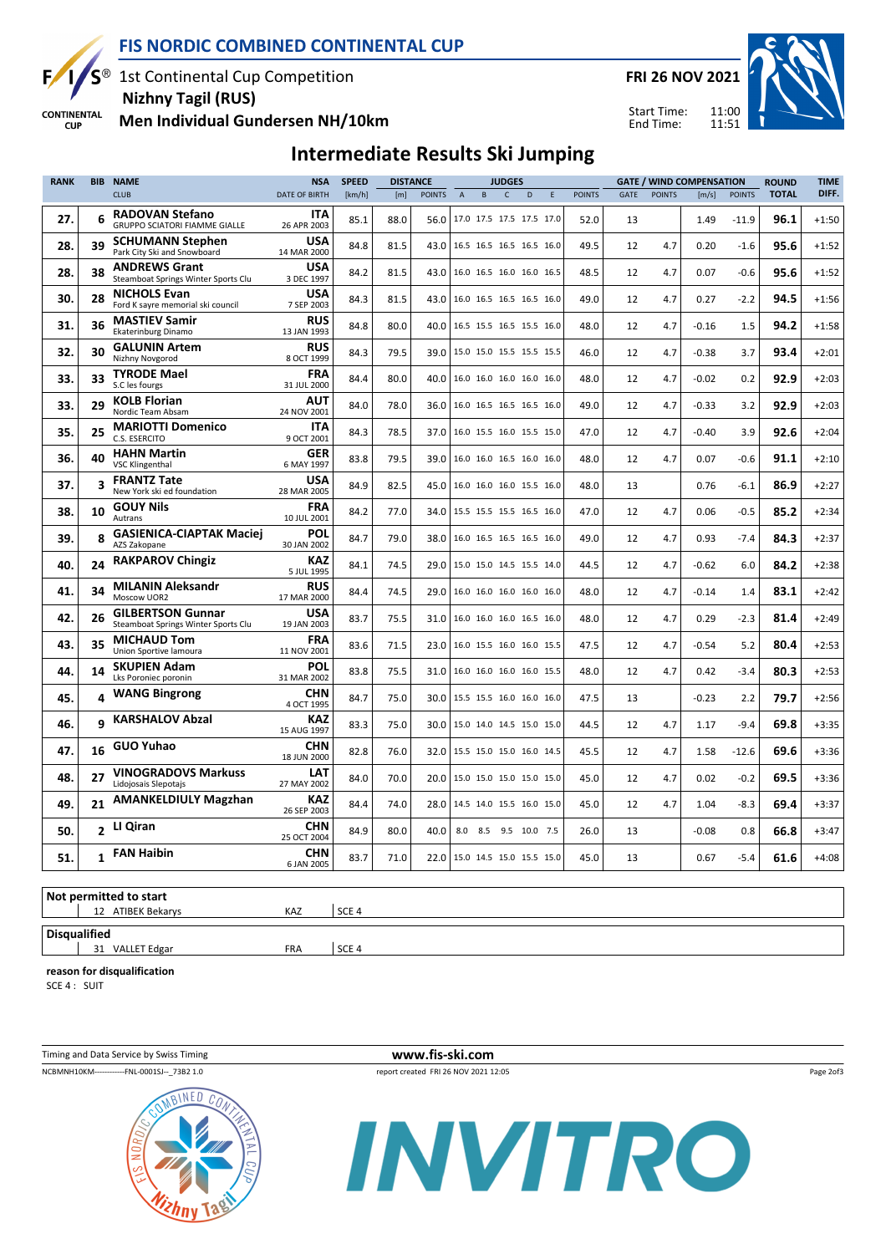

## FIS NORDIC COMBINED CONTINENTAL CUP

1st Continental Cup Competition Nizhny Tagil (RUS)

FRI 26 NOV 2021

Start Time: End Time:



**CONTINENTAL** Men Individual Gundersen NH/10km **CUP** 

#### Intermediate Results Ski Jumping

| <b>POINTS</b><br>$\mathsf{C}$<br><b>POINTS</b><br><b>POINTS</b><br><b>POINTS</b><br><b>CLUB</b><br><b>DATE OF BIRTH</b><br>[km/h]<br>[m]<br>$\overline{A}$<br>B.<br>D<br>E<br>GATE<br>[m/s]<br><b>RADOVAN Stefano</b><br><b>ITA</b><br>6<br>27.<br>85.1<br>88.0<br>56.0<br>17.0 17.5 17.5 17.5 17.0<br>1.49<br>$-11.9$<br>52.0<br>13<br><b>GRUPPO SCIATORI FIAMME GIALLE</b><br>26 APR 2003<br><b>SCHUMANN Stephen</b><br><b>USA</b><br>28.<br>39<br>84.8<br>81.5<br>49.5<br>4.7<br>43.0<br>16.5 16.5 16.5 16.5 16.0<br>12<br>0.20<br>$-1.6$<br>Park City Ski and Snowboard<br>14 MAR 2000<br><b>USA</b><br><b>ANDREWS Grant</b><br>38<br>28.<br>84.2<br>81.5<br>43.0<br>4.7<br>0.07<br>$-0.6$<br>16.0 16.5 16.0 16.0 16.5<br>48.5<br>12<br>Steamboat Springs Winter Sports Clu<br>3 DEC 1997<br><b>NICHOLS Evan</b><br>USA<br>30.<br>28<br>84.3<br>81.5<br>43.0<br>16.0 16.5 16.5 16.5 16.0<br>49.0<br>4.7<br>0.27<br>$-2.2$<br>12<br>Ford K sayre memorial ski council<br>7 SEP 2003<br><b>MASTIEV Samir</b><br><b>RUS</b><br>31.<br>36<br>84.8<br>80.0<br>1.5<br>40.0<br>48.0<br>12<br>4.7<br>$-0.16$<br>16.5 15.5 16.5 15.5 16.0<br>Ekaterinburg Dinamo<br>13 JAN 1993<br><b>GALUNIN Artem</b><br><b>RUS</b><br>32.<br>30<br>84.3<br>79.5<br>15.0 15.0 15.5 15.5 15.5<br>3.7<br>39.0<br>46.0<br>12<br>4.7<br>$-0.38$<br>Nizhny Novgorod<br>8 OCT 1999<br><b>TYRODE Mael</b><br><b>FRA</b><br>33.<br>33<br>84.4<br>80.0<br>40.0<br>16.0 16.0 16.0 16.0 16.0<br>4.7<br>$-0.02$<br>0.2<br>48.0<br>12<br>S.C les fourgs<br>31 JUL 2000<br><b>KOLB Florian</b><br><b>AUT</b><br>33.<br>29<br>84.0<br>78.0<br>36.0<br>16.0 16.5 16.5 16.5 16.0<br>49.0<br>12<br>4.7<br>$-0.33$<br>3.2<br>Nordic Team Absam<br>24 NOV 2001<br><b>MARIOTTI Domenico</b><br><b>ITA</b><br>35.<br>25<br>84.3<br>78.5<br>37.0<br>16.0 15.5 16.0 15.5 15.0<br>3.9<br>47.0<br>12<br>4.7<br>$-0.40$<br>C.S. ESERCITO<br>9 OCT 2001<br><b>HAHN Martin</b><br><b>GER</b><br>40<br>36.<br>79.5<br>83.8<br>39.0<br>48.0<br>12<br>4.7<br>0.07<br>$-0.6$<br>16.0 16.0 16.5 16.0 16.0<br><b>VSC Klingenthal</b><br>6 MAY 1997<br><b>USA</b><br><b>FRANTZ Tate</b><br>3<br>37.<br>84.9<br>82.5<br>45.0<br>16.0 16.0 16.0 15.5 16.0<br>48.0<br>13<br>0.76<br>$-6.1$<br>New York ski ed foundation<br>28 MAR 2005<br><b>FRA</b><br><b>GOUY Nils</b><br>38.<br>10<br>84.2<br>77.0<br>34.0<br>15.5 15.5 15.5 16.5 16.0<br>47.0<br>12<br>4.7<br>0.06<br>$-0.5$<br>10 JUL 2001<br>Autrans<br><b>GASIENICA-CIAPTAK Maciei</b><br>POL<br>8<br>39.<br>84.7<br>79.0<br>4.7<br>0.93<br>$-7.4$<br>38.0<br>16.0 16.5 16.5 16.5 16.0<br>49.0<br>12<br>AZS Zakopane<br>30 JAN 2002<br><b>KAZ</b><br><b>RAKPAROV Chingiz</b><br>24<br>40.<br>4.7<br>6.0<br>84.1<br>74.5<br>29.0<br>15.0 15.0 14.5 15.5 14.0<br>44.5<br>12<br>$-0.62$<br>5 JUL 1995<br><b>RUS</b><br><b>MILANIN Aleksandr</b><br>34<br>41.<br>74.5<br>29.0<br>16.0 16.0 16.0 16.0 16.0<br>84.4<br>48.0<br>12<br>4.7<br>$-0.14$<br>1.4<br>Moscow UOR2<br>17 MAR 2000<br><b>GILBERTSON Gunnar</b><br><b>USA</b><br>42.<br>26<br>83.7<br>75.5<br>31.0<br>16.0 16.0 16.0 16.5 16.0<br>48.0<br>12<br>4.7<br>0.29<br>$-2.3$<br>Steamboat Springs Winter Sports Clu<br>19 JAN 2003<br><b>FRA</b><br><b>MICHAUD Tom</b><br>43.<br>35<br>71.5<br>$-0.54$<br>5.2<br>83.6<br>23.0<br>16.0 15.5 16.0 16.0 15.5<br>47.5<br>12<br>4.7<br>Union Sportive lamoura<br>11 NOV 2001<br>POL<br><b>SKUPIEN Adam</b><br>44.<br>14<br>75.5<br>4.7<br>83.8<br>31.0<br>16.0 16.0 16.0 16.0 15.5<br>48.0<br>12<br>0.42<br>$-3.4$<br>Lks Poroniec poronin<br>31 MAR 2002<br><b>WANG Bingrong</b><br><b>CHN</b><br>4<br>45.<br>84.7<br>75.0<br>47.5<br>$-0.23$<br>2.2<br>30.0<br>15.5 15.5 16.0 16.0 16.0<br>13<br>4 OCT 1995<br><b>KAZ</b><br><b>KARSHALOV Abzal</b><br>q<br>46.<br>83.3<br>75.0<br>30.0<br>15.0 14.0 14.5 15.0 15.0<br>44.5<br>4.7<br>$-9.4$<br>12<br>1.17<br>15 AUG 1997 | <b>TIME</b> | <b>ROUND</b> | <b>GATE / WIND COMPENSATION</b> | <b>DISTANCE</b><br><b>JUDGES</b> |  | <b>SPEED</b> | <b>NSA</b> | <b>NAME</b> | <b>BIB</b> | <b>RANK</b> |  |  |  |  |
|------------------------------------------------------------------------------------------------------------------------------------------------------------------------------------------------------------------------------------------------------------------------------------------------------------------------------------------------------------------------------------------------------------------------------------------------------------------------------------------------------------------------------------------------------------------------------------------------------------------------------------------------------------------------------------------------------------------------------------------------------------------------------------------------------------------------------------------------------------------------------------------------------------------------------------------------------------------------------------------------------------------------------------------------------------------------------------------------------------------------------------------------------------------------------------------------------------------------------------------------------------------------------------------------------------------------------------------------------------------------------------------------------------------------------------------------------------------------------------------------------------------------------------------------------------------------------------------------------------------------------------------------------------------------------------------------------------------------------------------------------------------------------------------------------------------------------------------------------------------------------------------------------------------------------------------------------------------------------------------------------------------------------------------------------------------------------------------------------------------------------------------------------------------------------------------------------------------------------------------------------------------------------------------------------------------------------------------------------------------------------------------------------------------------------------------------------------------------------------------------------------------------------------------------------------------------------------------------------------------------------------------------------------------------------------------------------------------------------------------------------------------------------------------------------------------------------------------------------------------------------------------------------------------------------------------------------------------------------------------------------------------------------------------------------------------------------------------------------------------------------------------------------------------------------------------------------------------------------------------------------------------------------------------------------------------------------------------------------------------------------------------------------------------------------------------------------------------------------------------------------------------------------------------------------------------------------------------------------------------------------------------------------------------------------------------------------------------------------------------------------------------------------------------------------------------------------------------------------------------------------|-------------|--------------|---------------------------------|----------------------------------|--|--------------|------------|-------------|------------|-------------|--|--|--|--|
|                                                                                                                                                                                                                                                                                                                                                                                                                                                                                                                                                                                                                                                                                                                                                                                                                                                                                                                                                                                                                                                                                                                                                                                                                                                                                                                                                                                                                                                                                                                                                                                                                                                                                                                                                                                                                                                                                                                                                                                                                                                                                                                                                                                                                                                                                                                                                                                                                                                                                                                                                                                                                                                                                                                                                                                                                                                                                                                                                                                                                                                                                                                                                                                                                                                                                                                                                                                                                                                                                                                                                                                                                                                                                                                                                                                                                                                                              | DIFF.       | <b>TOTAL</b> |                                 |                                  |  |              |            |             |            |             |  |  |  |  |
|                                                                                                                                                                                                                                                                                                                                                                                                                                                                                                                                                                                                                                                                                                                                                                                                                                                                                                                                                                                                                                                                                                                                                                                                                                                                                                                                                                                                                                                                                                                                                                                                                                                                                                                                                                                                                                                                                                                                                                                                                                                                                                                                                                                                                                                                                                                                                                                                                                                                                                                                                                                                                                                                                                                                                                                                                                                                                                                                                                                                                                                                                                                                                                                                                                                                                                                                                                                                                                                                                                                                                                                                                                                                                                                                                                                                                                                                              | $+1:50$     | 96.1         |                                 |                                  |  |              |            |             |            |             |  |  |  |  |
|                                                                                                                                                                                                                                                                                                                                                                                                                                                                                                                                                                                                                                                                                                                                                                                                                                                                                                                                                                                                                                                                                                                                                                                                                                                                                                                                                                                                                                                                                                                                                                                                                                                                                                                                                                                                                                                                                                                                                                                                                                                                                                                                                                                                                                                                                                                                                                                                                                                                                                                                                                                                                                                                                                                                                                                                                                                                                                                                                                                                                                                                                                                                                                                                                                                                                                                                                                                                                                                                                                                                                                                                                                                                                                                                                                                                                                                                              | $+1:52$     | 95.6         |                                 |                                  |  |              |            |             |            |             |  |  |  |  |
|                                                                                                                                                                                                                                                                                                                                                                                                                                                                                                                                                                                                                                                                                                                                                                                                                                                                                                                                                                                                                                                                                                                                                                                                                                                                                                                                                                                                                                                                                                                                                                                                                                                                                                                                                                                                                                                                                                                                                                                                                                                                                                                                                                                                                                                                                                                                                                                                                                                                                                                                                                                                                                                                                                                                                                                                                                                                                                                                                                                                                                                                                                                                                                                                                                                                                                                                                                                                                                                                                                                                                                                                                                                                                                                                                                                                                                                                              | $+1:52$     | 95.6         |                                 |                                  |  |              |            |             |            |             |  |  |  |  |
|                                                                                                                                                                                                                                                                                                                                                                                                                                                                                                                                                                                                                                                                                                                                                                                                                                                                                                                                                                                                                                                                                                                                                                                                                                                                                                                                                                                                                                                                                                                                                                                                                                                                                                                                                                                                                                                                                                                                                                                                                                                                                                                                                                                                                                                                                                                                                                                                                                                                                                                                                                                                                                                                                                                                                                                                                                                                                                                                                                                                                                                                                                                                                                                                                                                                                                                                                                                                                                                                                                                                                                                                                                                                                                                                                                                                                                                                              | $+1:56$     | 94.5         |                                 |                                  |  |              |            |             |            |             |  |  |  |  |
|                                                                                                                                                                                                                                                                                                                                                                                                                                                                                                                                                                                                                                                                                                                                                                                                                                                                                                                                                                                                                                                                                                                                                                                                                                                                                                                                                                                                                                                                                                                                                                                                                                                                                                                                                                                                                                                                                                                                                                                                                                                                                                                                                                                                                                                                                                                                                                                                                                                                                                                                                                                                                                                                                                                                                                                                                                                                                                                                                                                                                                                                                                                                                                                                                                                                                                                                                                                                                                                                                                                                                                                                                                                                                                                                                                                                                                                                              | $+1:58$     | 94.2         |                                 |                                  |  |              |            |             |            |             |  |  |  |  |
|                                                                                                                                                                                                                                                                                                                                                                                                                                                                                                                                                                                                                                                                                                                                                                                                                                                                                                                                                                                                                                                                                                                                                                                                                                                                                                                                                                                                                                                                                                                                                                                                                                                                                                                                                                                                                                                                                                                                                                                                                                                                                                                                                                                                                                                                                                                                                                                                                                                                                                                                                                                                                                                                                                                                                                                                                                                                                                                                                                                                                                                                                                                                                                                                                                                                                                                                                                                                                                                                                                                                                                                                                                                                                                                                                                                                                                                                              | $+2:01$     | 93.4         |                                 |                                  |  |              |            |             |            |             |  |  |  |  |
|                                                                                                                                                                                                                                                                                                                                                                                                                                                                                                                                                                                                                                                                                                                                                                                                                                                                                                                                                                                                                                                                                                                                                                                                                                                                                                                                                                                                                                                                                                                                                                                                                                                                                                                                                                                                                                                                                                                                                                                                                                                                                                                                                                                                                                                                                                                                                                                                                                                                                                                                                                                                                                                                                                                                                                                                                                                                                                                                                                                                                                                                                                                                                                                                                                                                                                                                                                                                                                                                                                                                                                                                                                                                                                                                                                                                                                                                              | $+2:03$     | 92.9         |                                 |                                  |  |              |            |             |            |             |  |  |  |  |
|                                                                                                                                                                                                                                                                                                                                                                                                                                                                                                                                                                                                                                                                                                                                                                                                                                                                                                                                                                                                                                                                                                                                                                                                                                                                                                                                                                                                                                                                                                                                                                                                                                                                                                                                                                                                                                                                                                                                                                                                                                                                                                                                                                                                                                                                                                                                                                                                                                                                                                                                                                                                                                                                                                                                                                                                                                                                                                                                                                                                                                                                                                                                                                                                                                                                                                                                                                                                                                                                                                                                                                                                                                                                                                                                                                                                                                                                              | $+2:03$     | 92.9         |                                 |                                  |  |              |            |             |            |             |  |  |  |  |
|                                                                                                                                                                                                                                                                                                                                                                                                                                                                                                                                                                                                                                                                                                                                                                                                                                                                                                                                                                                                                                                                                                                                                                                                                                                                                                                                                                                                                                                                                                                                                                                                                                                                                                                                                                                                                                                                                                                                                                                                                                                                                                                                                                                                                                                                                                                                                                                                                                                                                                                                                                                                                                                                                                                                                                                                                                                                                                                                                                                                                                                                                                                                                                                                                                                                                                                                                                                                                                                                                                                                                                                                                                                                                                                                                                                                                                                                              | $+2:04$     | 92.6         |                                 |                                  |  |              |            |             |            |             |  |  |  |  |
|                                                                                                                                                                                                                                                                                                                                                                                                                                                                                                                                                                                                                                                                                                                                                                                                                                                                                                                                                                                                                                                                                                                                                                                                                                                                                                                                                                                                                                                                                                                                                                                                                                                                                                                                                                                                                                                                                                                                                                                                                                                                                                                                                                                                                                                                                                                                                                                                                                                                                                                                                                                                                                                                                                                                                                                                                                                                                                                                                                                                                                                                                                                                                                                                                                                                                                                                                                                                                                                                                                                                                                                                                                                                                                                                                                                                                                                                              | $+2:10$     | 91.1         |                                 |                                  |  |              |            |             |            |             |  |  |  |  |
|                                                                                                                                                                                                                                                                                                                                                                                                                                                                                                                                                                                                                                                                                                                                                                                                                                                                                                                                                                                                                                                                                                                                                                                                                                                                                                                                                                                                                                                                                                                                                                                                                                                                                                                                                                                                                                                                                                                                                                                                                                                                                                                                                                                                                                                                                                                                                                                                                                                                                                                                                                                                                                                                                                                                                                                                                                                                                                                                                                                                                                                                                                                                                                                                                                                                                                                                                                                                                                                                                                                                                                                                                                                                                                                                                                                                                                                                              | $+2:27$     | 86.9         |                                 |                                  |  |              |            |             |            |             |  |  |  |  |
|                                                                                                                                                                                                                                                                                                                                                                                                                                                                                                                                                                                                                                                                                                                                                                                                                                                                                                                                                                                                                                                                                                                                                                                                                                                                                                                                                                                                                                                                                                                                                                                                                                                                                                                                                                                                                                                                                                                                                                                                                                                                                                                                                                                                                                                                                                                                                                                                                                                                                                                                                                                                                                                                                                                                                                                                                                                                                                                                                                                                                                                                                                                                                                                                                                                                                                                                                                                                                                                                                                                                                                                                                                                                                                                                                                                                                                                                              | $+2:34$     | 85.2         |                                 |                                  |  |              |            |             |            |             |  |  |  |  |
|                                                                                                                                                                                                                                                                                                                                                                                                                                                                                                                                                                                                                                                                                                                                                                                                                                                                                                                                                                                                                                                                                                                                                                                                                                                                                                                                                                                                                                                                                                                                                                                                                                                                                                                                                                                                                                                                                                                                                                                                                                                                                                                                                                                                                                                                                                                                                                                                                                                                                                                                                                                                                                                                                                                                                                                                                                                                                                                                                                                                                                                                                                                                                                                                                                                                                                                                                                                                                                                                                                                                                                                                                                                                                                                                                                                                                                                                              | $+2:37$     | 84.3         |                                 |                                  |  |              |            |             |            |             |  |  |  |  |
|                                                                                                                                                                                                                                                                                                                                                                                                                                                                                                                                                                                                                                                                                                                                                                                                                                                                                                                                                                                                                                                                                                                                                                                                                                                                                                                                                                                                                                                                                                                                                                                                                                                                                                                                                                                                                                                                                                                                                                                                                                                                                                                                                                                                                                                                                                                                                                                                                                                                                                                                                                                                                                                                                                                                                                                                                                                                                                                                                                                                                                                                                                                                                                                                                                                                                                                                                                                                                                                                                                                                                                                                                                                                                                                                                                                                                                                                              | $+2:38$     | 84.2         |                                 |                                  |  |              |            |             |            |             |  |  |  |  |
|                                                                                                                                                                                                                                                                                                                                                                                                                                                                                                                                                                                                                                                                                                                                                                                                                                                                                                                                                                                                                                                                                                                                                                                                                                                                                                                                                                                                                                                                                                                                                                                                                                                                                                                                                                                                                                                                                                                                                                                                                                                                                                                                                                                                                                                                                                                                                                                                                                                                                                                                                                                                                                                                                                                                                                                                                                                                                                                                                                                                                                                                                                                                                                                                                                                                                                                                                                                                                                                                                                                                                                                                                                                                                                                                                                                                                                                                              | $+2:42$     | 83.1         |                                 |                                  |  |              |            |             |            |             |  |  |  |  |
|                                                                                                                                                                                                                                                                                                                                                                                                                                                                                                                                                                                                                                                                                                                                                                                                                                                                                                                                                                                                                                                                                                                                                                                                                                                                                                                                                                                                                                                                                                                                                                                                                                                                                                                                                                                                                                                                                                                                                                                                                                                                                                                                                                                                                                                                                                                                                                                                                                                                                                                                                                                                                                                                                                                                                                                                                                                                                                                                                                                                                                                                                                                                                                                                                                                                                                                                                                                                                                                                                                                                                                                                                                                                                                                                                                                                                                                                              | $+2:49$     | 81.4         |                                 |                                  |  |              |            |             |            |             |  |  |  |  |
|                                                                                                                                                                                                                                                                                                                                                                                                                                                                                                                                                                                                                                                                                                                                                                                                                                                                                                                                                                                                                                                                                                                                                                                                                                                                                                                                                                                                                                                                                                                                                                                                                                                                                                                                                                                                                                                                                                                                                                                                                                                                                                                                                                                                                                                                                                                                                                                                                                                                                                                                                                                                                                                                                                                                                                                                                                                                                                                                                                                                                                                                                                                                                                                                                                                                                                                                                                                                                                                                                                                                                                                                                                                                                                                                                                                                                                                                              | $+2:53$     | 80.4         |                                 |                                  |  |              |            |             |            |             |  |  |  |  |
|                                                                                                                                                                                                                                                                                                                                                                                                                                                                                                                                                                                                                                                                                                                                                                                                                                                                                                                                                                                                                                                                                                                                                                                                                                                                                                                                                                                                                                                                                                                                                                                                                                                                                                                                                                                                                                                                                                                                                                                                                                                                                                                                                                                                                                                                                                                                                                                                                                                                                                                                                                                                                                                                                                                                                                                                                                                                                                                                                                                                                                                                                                                                                                                                                                                                                                                                                                                                                                                                                                                                                                                                                                                                                                                                                                                                                                                                              | $+2:53$     | 80.3         |                                 |                                  |  |              |            |             |            |             |  |  |  |  |
|                                                                                                                                                                                                                                                                                                                                                                                                                                                                                                                                                                                                                                                                                                                                                                                                                                                                                                                                                                                                                                                                                                                                                                                                                                                                                                                                                                                                                                                                                                                                                                                                                                                                                                                                                                                                                                                                                                                                                                                                                                                                                                                                                                                                                                                                                                                                                                                                                                                                                                                                                                                                                                                                                                                                                                                                                                                                                                                                                                                                                                                                                                                                                                                                                                                                                                                                                                                                                                                                                                                                                                                                                                                                                                                                                                                                                                                                              | $+2:56$     | 79.7         |                                 |                                  |  |              |            |             |            |             |  |  |  |  |
|                                                                                                                                                                                                                                                                                                                                                                                                                                                                                                                                                                                                                                                                                                                                                                                                                                                                                                                                                                                                                                                                                                                                                                                                                                                                                                                                                                                                                                                                                                                                                                                                                                                                                                                                                                                                                                                                                                                                                                                                                                                                                                                                                                                                                                                                                                                                                                                                                                                                                                                                                                                                                                                                                                                                                                                                                                                                                                                                                                                                                                                                                                                                                                                                                                                                                                                                                                                                                                                                                                                                                                                                                                                                                                                                                                                                                                                                              | $+3:35$     | 69.8         |                                 |                                  |  |              |            |             |            |             |  |  |  |  |
| <b>CHN</b><br><b>GUO Yuhao</b><br>16<br>47.<br>82.8<br>4.7<br>76.0<br>32.0<br>45.5<br>12<br>1.58<br>$-12.6$<br>15.5 15.0 15.0 16.0 14.5<br>18 JUN 2000                                                                                                                                                                                                                                                                                                                                                                                                                                                                                                                                                                                                                                                                                                                                                                                                                                                                                                                                                                                                                                                                                                                                                                                                                                                                                                                                                                                                                                                                                                                                                                                                                                                                                                                                                                                                                                                                                                                                                                                                                                                                                                                                                                                                                                                                                                                                                                                                                                                                                                                                                                                                                                                                                                                                                                                                                                                                                                                                                                                                                                                                                                                                                                                                                                                                                                                                                                                                                                                                                                                                                                                                                                                                                                                       | $+3:36$     | 69.6         |                                 |                                  |  |              |            |             |            |             |  |  |  |  |
| <b>VINOGRADOVS Markuss</b><br>LAT<br>48.<br>27<br>84.0<br>70.0<br>0.02<br>$-0.2$<br>20.0<br>15.0 15.0 15.0 15.0 15.0<br>45.0<br>12<br>4.7<br>Lidojosais Slepotajs<br>27 MAY 2002                                                                                                                                                                                                                                                                                                                                                                                                                                                                                                                                                                                                                                                                                                                                                                                                                                                                                                                                                                                                                                                                                                                                                                                                                                                                                                                                                                                                                                                                                                                                                                                                                                                                                                                                                                                                                                                                                                                                                                                                                                                                                                                                                                                                                                                                                                                                                                                                                                                                                                                                                                                                                                                                                                                                                                                                                                                                                                                                                                                                                                                                                                                                                                                                                                                                                                                                                                                                                                                                                                                                                                                                                                                                                             | $+3:36$     | 69.5         |                                 |                                  |  |              |            |             |            |             |  |  |  |  |
| <b>AMANKELDIULY Magzhan</b><br>KAZ<br>49.<br>21<br>84.4<br>74.0<br>28.0<br>14.5 14.0 15.5 16.0 15.0<br>4.7<br>1.04<br>$-8.3$<br>45.0<br>12<br>26 SEP 2003                                                                                                                                                                                                                                                                                                                                                                                                                                                                                                                                                                                                                                                                                                                                                                                                                                                                                                                                                                                                                                                                                                                                                                                                                                                                                                                                                                                                                                                                                                                                                                                                                                                                                                                                                                                                                                                                                                                                                                                                                                                                                                                                                                                                                                                                                                                                                                                                                                                                                                                                                                                                                                                                                                                                                                                                                                                                                                                                                                                                                                                                                                                                                                                                                                                                                                                                                                                                                                                                                                                                                                                                                                                                                                                    | $+3:37$     | 69.4         |                                 |                                  |  |              |            |             |            |             |  |  |  |  |
| <b>CHN</b><br>2 LI Qiran<br>50.<br>84.9<br>80.0<br>40.0<br>8.0 8.5 9.5 10.0 7.5<br>26.0<br>13<br>$-0.08$<br>0.8<br>25 OCT 2004                                                                                                                                                                                                                                                                                                                                                                                                                                                                                                                                                                                                                                                                                                                                                                                                                                                                                                                                                                                                                                                                                                                                                                                                                                                                                                                                                                                                                                                                                                                                                                                                                                                                                                                                                                                                                                                                                                                                                                                                                                                                                                                                                                                                                                                                                                                                                                                                                                                                                                                                                                                                                                                                                                                                                                                                                                                                                                                                                                                                                                                                                                                                                                                                                                                                                                                                                                                                                                                                                                                                                                                                                                                                                                                                               | $+3:47$     | 66.8         |                                 |                                  |  |              |            |             |            |             |  |  |  |  |
| <b>FAN Haibin</b><br><b>CHN</b><br>51.<br>$\mathbf{1}$<br>13<br>0.67<br>$-5.4$<br>83.7<br>71.0<br>22.0<br>15.0 14.5 15.0 15.5 15.0<br>45.0<br>6 JAN 2005                                                                                                                                                                                                                                                                                                                                                                                                                                                                                                                                                                                                                                                                                                                                                                                                                                                                                                                                                                                                                                                                                                                                                                                                                                                                                                                                                                                                                                                                                                                                                                                                                                                                                                                                                                                                                                                                                                                                                                                                                                                                                                                                                                                                                                                                                                                                                                                                                                                                                                                                                                                                                                                                                                                                                                                                                                                                                                                                                                                                                                                                                                                                                                                                                                                                                                                                                                                                                                                                                                                                                                                                                                                                                                                     | $+4:08$     | 61.6         |                                 |                                  |  |              |            |             |            |             |  |  |  |  |

#### Not permitted to start | 12 ATIBEK Bekarys KAZ | SCE 4 **Disqualified** | 31 VALLET Edgar FRA | SCE 4

reason for disqualification

SCE 4 : SUIT

Timing and Data Service by Swiss Timing WWW.fis-ski.com NCBMNH10KM------------FNL-0001SJ--\_73B2 1.0 report created FRI 26 NOV 2021 12:05

Page 2of3



INVITRO